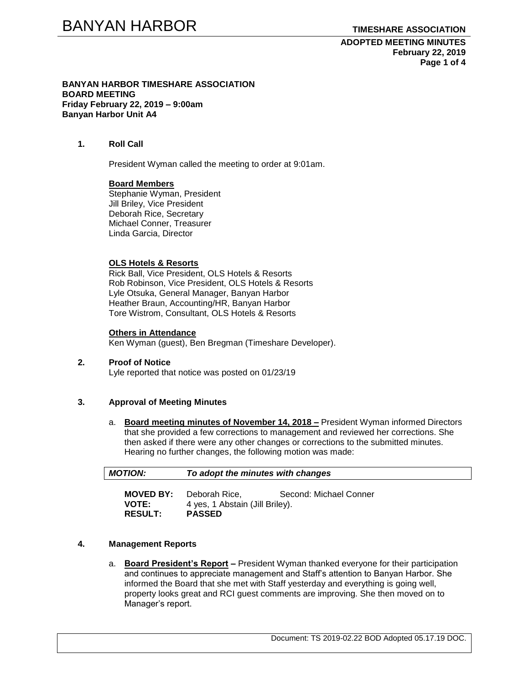**ADOPTED MEETING MINUTES February 22, 2019 Page 1 of 4**

**BANYAN HARBOR TIMESHARE ASSOCIATION BOARD MEETING Friday February 22, 2019 – 9:00am Banyan Harbor Unit A4**

## **1. Roll Call**

President Wyman called the meeting to order at 9:01am.

### **Board Members**

Stephanie Wyman, President Jill Briley, Vice President Deborah Rice, Secretary Michael Conner, Treasurer Linda Garcia, Director

### **OLS Hotels & Resorts**

Rick Ball, Vice President, OLS Hotels & Resorts Rob Robinson, Vice President, OLS Hotels & Resorts Lyle Otsuka, General Manager, Banyan Harbor Heather Braun, Accounting/HR, Banyan Harbor Tore Wistrom, Consultant, OLS Hotels & Resorts

### **Others in Attendance**

Ken Wyman (guest), Ben Bregman (Timeshare Developer).

#### **2. Proof of Notice** Lyle reported that notice was posted on 01/23/19

**RESULT: PASSED**

## **3. Approval of Meeting Minutes**

a. **Board meeting minutes of November 14, 2018 –** President Wyman informed Directors that she provided a few corrections to management and reviewed her corrections. She then asked if there were any other changes or corrections to the submitted minutes. Hearing no further changes, the following motion was made:

| <b>MOTION:</b> | To adopt the minutes with changes |                        |  |
|----------------|-----------------------------------|------------------------|--|
|                | <b>MOVED BY:</b> Deborah Rice,    | Second: Michael Conner |  |
| <b>VOTE:</b>   | 4 yes, 1 Abstain (Jill Briley).   |                        |  |

# **4. Management Reports**

a. **Board President's Report –** President Wyman thanked everyone for their participation and continues to appreciate management and Staff's attention to Banyan Harbor. She informed the Board that she met with Staff yesterday and everything is going well, property looks great and RCI guest comments are improving. She then moved on to Manager's report.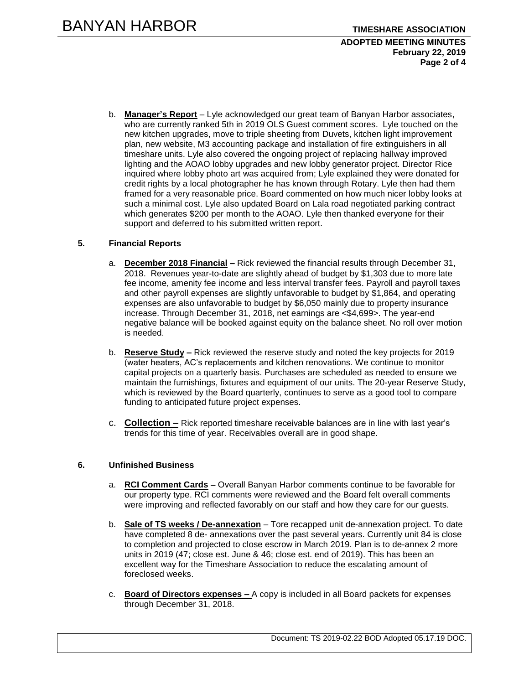## **ADOPTED MEETING MINUTES February 22, 2019 Page 2 of 4**

b. **Manager's Report** – Lyle acknowledged our great team of Banyan Harbor associates, who are currently ranked 5th in 2019 OLS Guest comment scores. Lyle touched on the new kitchen upgrades, move to triple sheeting from Duvets, kitchen light improvement plan, new website, M3 accounting package and installation of fire extinguishers in all timeshare units. Lyle also covered the ongoing project of replacing hallway improved lighting and the AOAO lobby upgrades and new lobby generator project. Director Rice inquired where lobby photo art was acquired from; Lyle explained they were donated for credit rights by a local photographer he has known through Rotary. Lyle then had them framed for a very reasonable price. Board commented on how much nicer lobby looks at such a minimal cost. Lyle also updated Board on Lala road negotiated parking contract which generates \$200 per month to the AOAO. Lyle then thanked everyone for their support and deferred to his submitted written report.

# **5. Financial Reports**

- a. **December 2018 Financial –** Rick reviewed the financial results through December 31, 2018. Revenues year-to-date are slightly ahead of budget by \$1,303 due to more late fee income, amenity fee income and less interval transfer fees. Payroll and payroll taxes and other payroll expenses are slightly unfavorable to budget by \$1,864, and operating expenses are also unfavorable to budget by \$6,050 mainly due to property insurance increase. Through December 31, 2018, net earnings are <\$4,699>. The year-end negative balance will be booked against equity on the balance sheet. No roll over motion is needed.
- b. **Reserve Study –** Rick reviewed the reserve study and noted the key projects for 2019 (water heaters, AC's replacements and kitchen renovations. We continue to monitor capital projects on a quarterly basis. Purchases are scheduled as needed to ensure we maintain the furnishings, fixtures and equipment of our units. The 20-year Reserve Study, which is reviewed by the Board quarterly, continues to serve as a good tool to compare funding to anticipated future project expenses.
- c. **Collection –** Rick reported timeshare receivable balances are in line with last year's trends for this time of year. Receivables overall are in good shape.

# **6. Unfinished Business**

- a. **RCI Comment Cards –** Overall Banyan Harbor comments continue to be favorable for our property type. RCI comments were reviewed and the Board felt overall comments were improving and reflected favorably on our staff and how they care for our guests.
- b. **Sale of TS weeks / De-annexation** Tore recapped unit de-annexation project. To date have completed 8 de- annexations over the past several years. Currently unit 84 is close to completion and projected to close escrow in March 2019. Plan is to de-annex 2 more units in 2019 (47; close est. June & 46; close est. end of 2019). This has been an excellent way for the Timeshare Association to reduce the escalating amount of foreclosed weeks.
- c. **Board of Directors expenses –** A copy is included in all Board packets for expenses through December 31, 2018.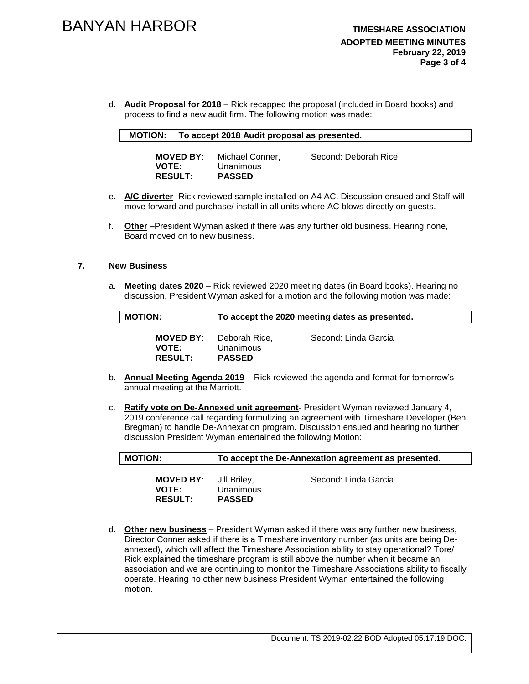d. **Audit Proposal for 2018** – Rick recapped the proposal (included in Board books) and process to find a new audit firm. The following motion was made:

#### **MOTION: To accept 2018 Audit proposal as presented.**

| <b>MOVED BY:</b> | Michael Conner, | Second: Deborah Rice |
|------------------|-----------------|----------------------|
| <b>VOTE:</b>     | Unanimous       |                      |
| <b>RESULT:</b>   | <b>PASSED</b>   |                      |

- e. **A/C diverter** Rick reviewed sample installed on A4 AC. Discussion ensued and Staff will move forward and purchase/ install in all units where AC blows directly on guests.
- f. **Other –**President Wyman asked if there was any further old business. Hearing none, Board moved on to new business.

# **7. New Business**

a. **Meeting dates 2020** – Rick reviewed 2020 meeting dates (in Board books). Hearing no discussion, President Wyman asked for a motion and the following motion was made:

| <b>MOTION:</b>                              | To accept the 2020 meeting dates as presented. |                      |
|---------------------------------------------|------------------------------------------------|----------------------|
| MOVED BY:<br><b>VOTE:</b><br><b>RESULT:</b> | Deborah Rice.<br>Unanimous<br><b>PASSED</b>    | Second: Linda Garcia |

- b. **Annual Meeting Agenda 2019** Rick reviewed the agenda and format for tomorrow's annual meeting at the Marriott.
- c. **Ratify vote on De-Annexed unit agreement** President Wyman reviewed January 4, 2019 conference call regarding formulizing an agreement with Timeshare Developer (Ben Bregman) to handle De-Annexation program. Discussion ensued and hearing no further discussion President Wyman entertained the following Motion:

| <b>MOTION:</b>                                     | To accept the De-Annexation agreement as presented. |                      |
|----------------------------------------------------|-----------------------------------------------------|----------------------|
| <b>MOVED BY:</b><br><b>VOTE:</b><br><b>RESULT:</b> | Jill Briley,<br>Unanimous<br><b>PASSED</b>          | Second: Linda Garcia |

d. **Other new business** – President Wyman asked if there was any further new business, Director Conner asked if there is a Timeshare inventory number (as units are being Deannexed), which will affect the Timeshare Association ability to stay operational? Tore/ Rick explained the timeshare program is still above the number when it became an association and we are continuing to monitor the Timeshare Associations ability to fiscally operate. Hearing no other new business President Wyman entertained the following motion.